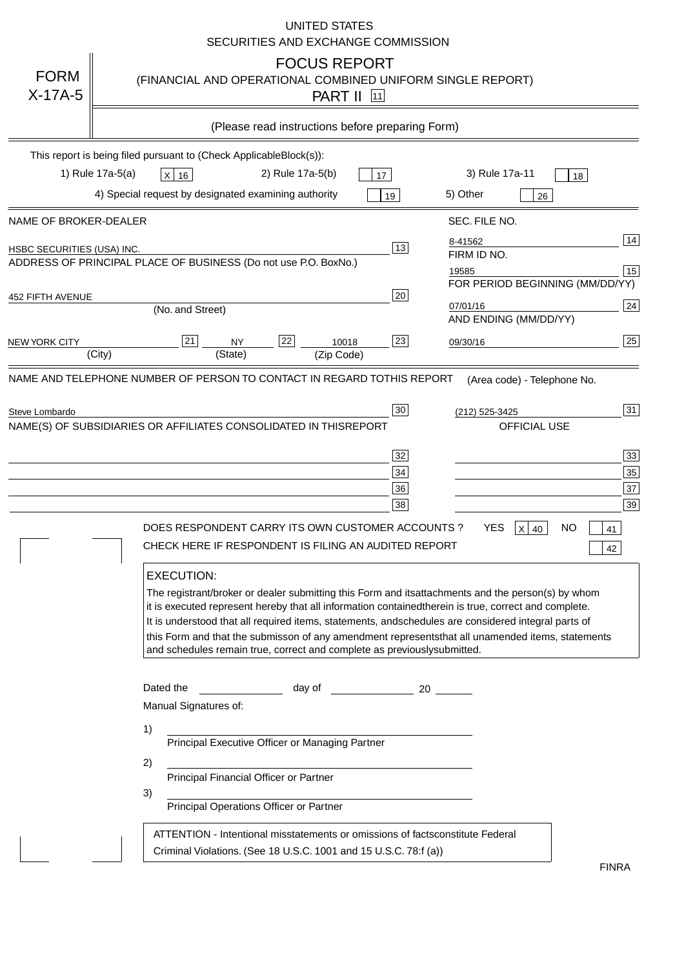|                                   | <b>UNITED STATES</b><br>SECURITIES AND EXCHANGE COMMISSION                                                                                                                                                                                                                                                                                                                                                                                                                                                                                                                                                                                                                                                                                                                                                                                                                                             |
|-----------------------------------|--------------------------------------------------------------------------------------------------------------------------------------------------------------------------------------------------------------------------------------------------------------------------------------------------------------------------------------------------------------------------------------------------------------------------------------------------------------------------------------------------------------------------------------------------------------------------------------------------------------------------------------------------------------------------------------------------------------------------------------------------------------------------------------------------------------------------------------------------------------------------------------------------------|
| <b>FORM</b><br>$X-17A-5$          | <b>FOCUS REPORT</b><br>(FINANCIAL AND OPERATIONAL COMBINED UNIFORM SINGLE REPORT)<br><b>PART II</b> 11                                                                                                                                                                                                                                                                                                                                                                                                                                                                                                                                                                                                                                                                                                                                                                                                 |
|                                   | (Please read instructions before preparing Form)                                                                                                                                                                                                                                                                                                                                                                                                                                                                                                                                                                                                                                                                                                                                                                                                                                                       |
|                                   | This report is being filed pursuant to (Check Applicable<br>$Block(s)$ :<br>3) Rule 17a-11<br>1) Rule 17a-5(a)<br>2) Rule 17a-5(b)<br>$X$ 16<br>17<br>18<br>4) Special request by designated examining authority<br>5) Other<br>19<br>26                                                                                                                                                                                                                                                                                                                                                                                                                                                                                                                                                                                                                                                               |
| NAME OF BROKER-DEALER             | SEC. FILE NO.                                                                                                                                                                                                                                                                                                                                                                                                                                                                                                                                                                                                                                                                                                                                                                                                                                                                                          |
| <b>HSBC SECURITIES (USA) INC.</b> | 14<br>8-41562<br>13<br>FIRM ID NO.<br>ADDRESS OF PRINCIPAL PLACE OF BUSINESS (Do not use P.O. Box<br>No.)<br>15<br>19585<br>FOR PERIOD BEGINNING (MM/DD/YY)                                                                                                                                                                                                                                                                                                                                                                                                                                                                                                                                                                                                                                                                                                                                            |
| <b>452 FIFTH AVENUE</b>           | 20<br>24<br>07/01/16<br>(No. and Street)<br>AND ENDING (MM/DD/YY)                                                                                                                                                                                                                                                                                                                                                                                                                                                                                                                                                                                                                                                                                                                                                                                                                                      |
| <b>NEW YORK CITY</b>              | 25<br>22<br>21<br>23<br><b>NY</b><br>10018<br>09/30/16<br>(City)<br>(State)<br>(Zip Code)                                                                                                                                                                                                                                                                                                                                                                                                                                                                                                                                                                                                                                                                                                                                                                                                              |
| Steve Lombardo                    | 31<br>30<br>(212) 525-3425<br>NAME(S) OF SUBSIDIARIES OR AFFILIATES CONSOLIDATED IN THIS<br><b>REPORT</b><br><b>OFFICIAL USE</b><br>$\overline{33}$<br>32<br>35<br>34<br>37<br>36<br>39<br>38<br>DOES RESPONDENT CARRY ITS OWN CUSTOMER ACCOUNTS?<br><b>YES</b><br>$X$ 40<br><b>NO</b><br>41<br>CHECK HERE IF RESPONDENT IS FILING AN AUDITED REPORT<br>42<br><b>EXECUTION:</b><br>The registrant/broker or dealer submitting this Form and its<br>attachments and the person(s) by whom<br>it is executed represent hereby that all information contained<br>therein is true, correct and complete.<br>It is understood that all required items, statements, and<br>schedules are considered integral parts of<br>this Form and that the submisson of any amendment represents<br>that all unamended items, statements<br>and schedules remain true, correct and complete as previously<br>submitted. |
|                                   | Dated the<br>day of<br>20<br>Manual Signatures of:<br>1)<br>Principal Executive Officer or Managing Partner<br>2)<br>Principal Financial Officer or Partner<br>3)<br>Principal Operations Officer or Partner                                                                                                                                                                                                                                                                                                                                                                                                                                                                                                                                                                                                                                                                                           |
|                                   | ATTENTION - Intentional misstatements or omissions of facts<br>constitute Federal<br>Criminal Violations. (See 18 U.S.C. 1001 and 15 U.S.C. 78:f (a)<br>$\lambda$<br><b>FINRA</b>                                                                                                                                                                                                                                                                                                                                                                                                                                                                                                                                                                                                                                                                                                                      |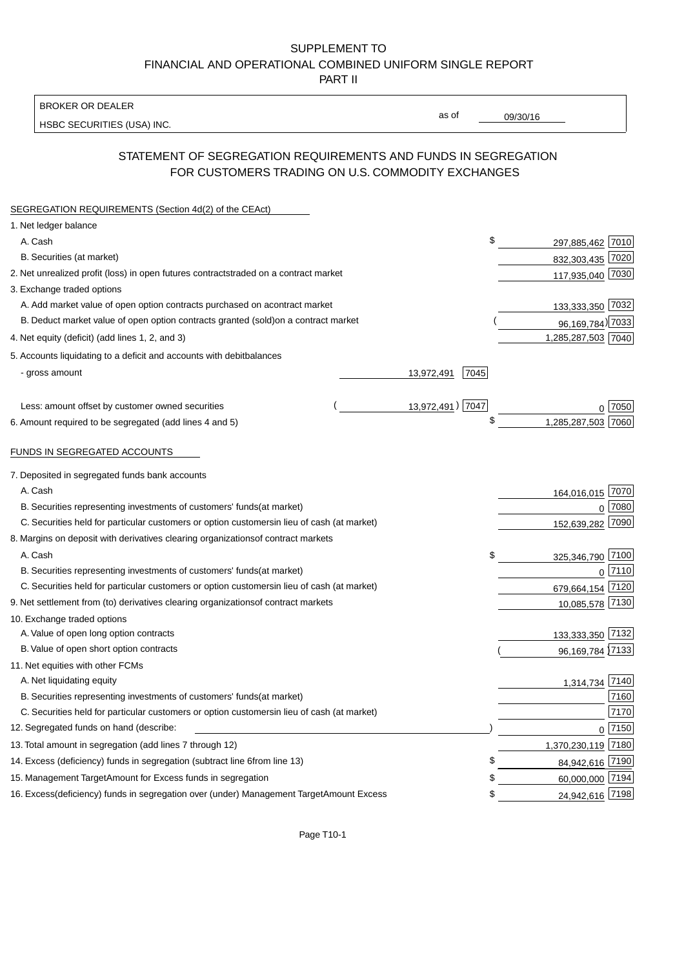BROKER OR DEALER

HSBC SECURITIES (USA) INC.

09/30/16

as of

## STATEMENT OF SEGREGATION REQUIREMENTS AND FUNDS IN SEGREGATION FOR CUSTOMERS TRADING ON U.S. COMMODITY EXCHANGES

| SEGREGATION REQUIREMENTS (Section 4d(2) of the CEAct)                                          |                             |
|------------------------------------------------------------------------------------------------|-----------------------------|
| 1. Net ledger balance                                                                          |                             |
| A. Cash                                                                                        | \$<br>297,885,462 7010      |
| B. Securities (at market)                                                                      | 832,303,435 7020            |
| 2. Net unrealized profit (loss) in open futures contracts<br>traded on a contract market       | 117,935,040 7030            |
| 3. Exchange traded options                                                                     |                             |
| A. Add market value of open option contracts purchased on a<br>contract market                 | 133,333,350 7032            |
| B. Deduct market value of open option contracts granted (sold)<br>on a contract market         | 96, 169, 784) 7033          |
| 4. Net equity (deficit) (add lines 1, 2, and 3)                                                | 1,285,287,503 7040          |
| 5. Accounts liquidating to a deficit and accounts with debit<br>balances                       |                             |
| - gross amount                                                                                 | 7045<br>13,972,491          |
|                                                                                                |                             |
| Less: amount offset by customer owned securities                                               | 13,972,491) 7047<br>∩ 17050 |
| 6. Amount required to be segregated (add lines 4 and 5)                                        | \$<br>1,285,287,503 7060    |
|                                                                                                |                             |
| FUNDS IN SEGREGATED ACCOUNTS                                                                   |                             |
| 7. Deposited in segregated funds bank accounts                                                 |                             |
| A. Cash                                                                                        | 164,016,015 7070            |
| B. Securities representing investments of customers' funds<br>(at market)                      | 7080<br>$\mathbf 0$         |
| C. Securities held for particular customers or option customers<br>in lieu of cash (at market) | 7090<br>152,639,282         |
| 8. Margins on deposit with derivatives clearing organizations<br>of contract markets           |                             |
| A. Cash                                                                                        | \$<br>325,346,790 7100      |
| B. Securities representing investments of customers' funds<br>(at market)                      | $0^{17110}$                 |
| C. Securities held for particular customers or option customers<br>in lieu of cash (at market) | 679,664,154<br>7120         |
| 9. Net settlement from (to) derivatives clearing organizations<br>of contract markets          | 10,085,578 7130             |
| 10. Exchange traded options                                                                    |                             |
| A. Value of open long option contracts                                                         | 133,333,350 7132            |
| B. Value of open short option contracts                                                        | 96,169,784 7133             |
| 11. Net equities with other FCMs                                                               |                             |
| A. Net liquidating equity                                                                      | 1,314,734 7140              |
| B. Securities representing investments of customers' funds<br>(at market)                      | 7160                        |
| C. Securities held for particular customers or option customers<br>in lieu of cash (at market) | 7170                        |
| 12. Segregated funds on hand (describe:                                                        | $0$ 7150                    |
| 13. Total amount in segregation (add lines 7 through 12)                                       | 1,370,230,119 7180          |
| 14. Excess (deficiency) funds in segregation (subtract line 6 from line 13)                    | £<br>84,942,616 7190        |
| 15. Management Target Amount for Excess funds in segregation                                   | 60,000,000 7194<br>\$       |
| 16. Excess (deficiency) funds in segregation over (under) Management Target Amount Excess      | 24,942,616 7198<br>\$       |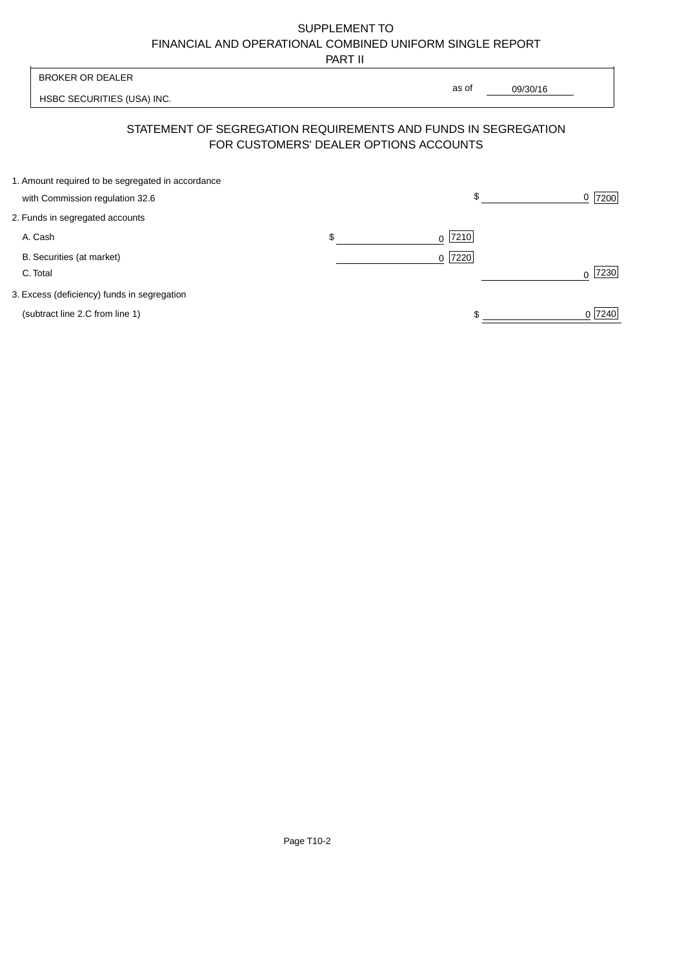PART II

|                                                   | .  |                                                                                                          |                |
|---------------------------------------------------|----|----------------------------------------------------------------------------------------------------------|----------------|
| <b>BROKER OR DEALER</b>                           |    | as of                                                                                                    |                |
| HSBC SECURITIES (USA) INC.                        |    | 09/30/16                                                                                                 |                |
|                                                   |    | STATEMENT OF SEGREGATION REQUIREMENTS AND FUNDS IN SEGREGATION<br>FOR CUSTOMERS' DEALER OPTIONS ACCOUNTS |                |
| 1. Amount required to be segregated in accordance |    |                                                                                                          |                |
| with Commission regulation 32.6                   |    | \$                                                                                                       | 7200<br>0      |
| 2. Funds in segregated accounts                   |    |                                                                                                          |                |
| A. Cash                                           | \$ | 7210<br>0                                                                                                |                |
| B. Securities (at market)                         |    | 7220<br>0 <sup>1</sup>                                                                                   |                |
| C. Total                                          |    |                                                                                                          | 7230<br>$\cap$ |
| 3. Excess (deficiency) funds in segregation       |    |                                                                                                          |                |
| (subtract line 2.C from line 1)                   |    |                                                                                                          | 0 7240         |
|                                                   |    |                                                                                                          |                |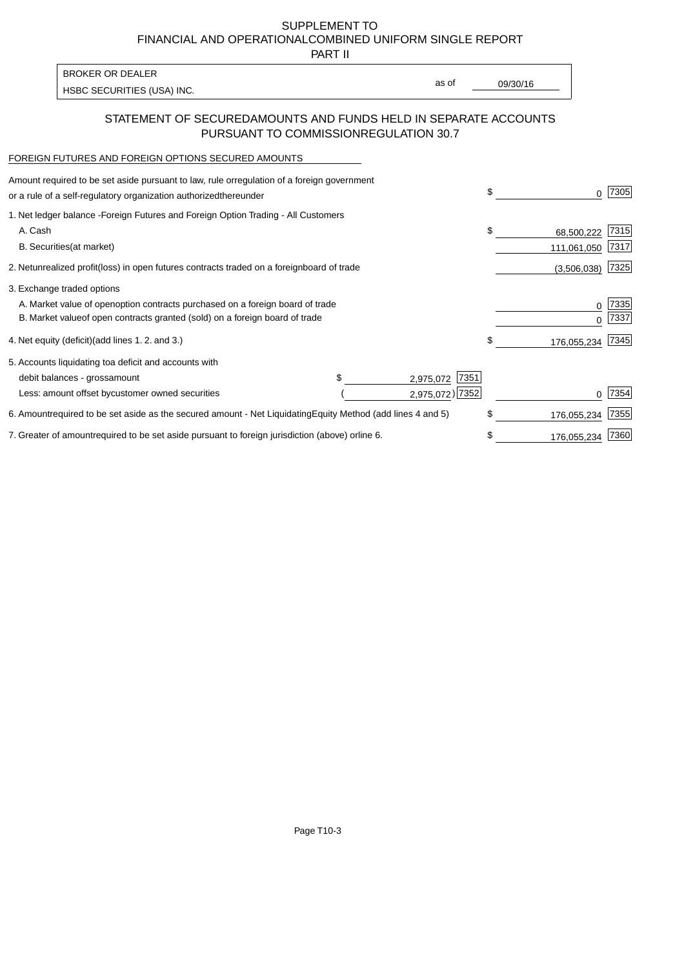PART II

HSBC SECURITIES (USA) INC. The state of the second second second second second second second second second second second second second second second second second second second second second second second second second sec BROKER OR DEALER

as of

## STATEMENT OF SECURED AMOUNTS AND FUNDS HELD IN SEPARATE ACCOUNTS PURSUANT TO COMMISSION REGULATION 30.7

#### FOREIGN FUTURES AND FOREIGN OPTIONS SECURED AMOUNTS

| regulation of a foreign government<br>Amount required to be set aside pursuant to law, rule or<br>or a rule of a self-regulatory organization authorized<br>thereunder                       | \$ |                           | 7305         |
|----------------------------------------------------------------------------------------------------------------------------------------------------------------------------------------------|----|---------------------------|--------------|
| 1. Net ledger balance - Foreign Futures and Foreign Option Trading - All Customers<br>A. Cash<br><b>B.</b> Securities<br>(at market)                                                         | \$ | 68,500,222<br>111,061,050 | 7315<br>7317 |
| unrealized profit (loss) in open futures contracts traded on a foreign<br>2. Net<br>board of trade                                                                                           |    | (3,506,038)               | 7325         |
| 3. Exchange traded options<br>A. Market value of open option contracts purchased on a foreign board of trade<br>B. Market value of open contracts granted (sold) on a foreign board of trade |    | O                         | 7335<br>7337 |
| (add lines 1.2. and 3.)<br>4. Net equity (deficit)                                                                                                                                           | \$ | 176,055,234               | 7345         |
| 5. Accounts liquidating to<br>a deficit and accounts with<br>7351<br>debit balances - gross<br>amount<br>2,975,072<br>2,975,072) 7352<br>Less: amount offset by customer owned securities    |    |                           | 7354         |
| 6. Amount required to be set aside as the secured amount - Net Liquidating<br>Equity Method (add lines 4 and 5)                                                                              | \$ | 176,055,234               | 7355         |
| 7. Greater of amount required to be set aside pursuant to foreign jurisdiction (above) or<br>line 6.                                                                                         | S  | 176,055,234               | 7360         |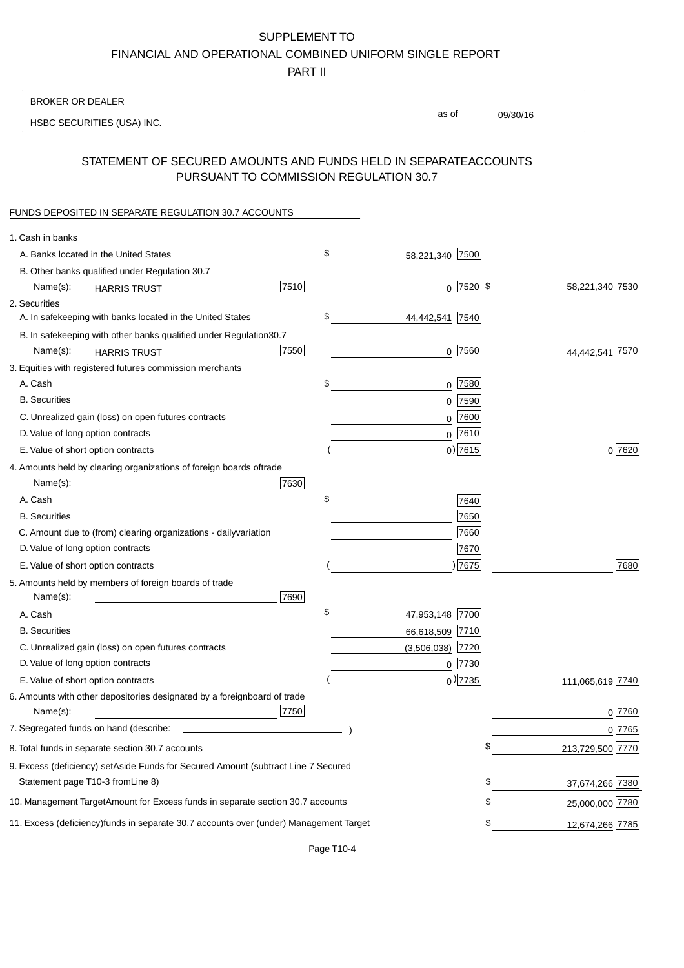PART II

| <b>BROKER OR DEALER</b>                                                                           |                       |              |                 |                  |
|---------------------------------------------------------------------------------------------------|-----------------------|--------------|-----------------|------------------|
| HSBC SECURITIES (USA) INC.                                                                        | as of                 |              | 09/30/16        |                  |
|                                                                                                   |                       |              |                 |                  |
| STATEMENT OF SECURED AMOUNTS AND FUNDS HELD IN SEPARATE<br>PURSUANT TO COMMISSION REGULATION 30.7 |                       |              | <b>ACCOUNTS</b> |                  |
| FUNDS DEPOSITED IN SEPARATE REGULATION 30.7 ACCOUNTS                                              |                       |              |                 |                  |
| 1. Cash in banks                                                                                  |                       |              |                 |                  |
| A. Banks located in the United States                                                             | \$<br>58,221,340 7500 |              |                 |                  |
| B. Other banks qualified under Regulation 30.7                                                    |                       |              |                 |                  |
| 7510<br>Name(s):<br><b>HARRIS TRUST</b>                                                           |                       | $0$ 7520 \$  |                 | 58,221,340 7530  |
| 2. Securities                                                                                     |                       |              |                 |                  |
| A. In safekeeping with banks located in the United States                                         | \$<br>44,442,541      | 7540         |                 |                  |
| B. In safekeeping with other banks qualified under Regulation<br>30.7                             |                       |              |                 |                  |
| 7550<br>Name(s):<br><b>HARRIS TRUST</b>                                                           |                       | $0$ 7560     |                 | 44,442,541 7570  |
| 3. Equities with registered futures commission merchants                                          |                       |              |                 |                  |
| A. Cash                                                                                           | \$                    | $0$ 7580     |                 |                  |
| <b>B.</b> Securities                                                                              |                       | $0$ 7590     |                 |                  |
| C. Unrealized gain (loss) on open futures contracts                                               |                       | $0$ 7600     |                 |                  |
| D. Value of long option contracts                                                                 |                       | $0$ 7610     |                 |                  |
| E. Value of short option contracts                                                                |                       | $0)$ 7615    |                 | 0 7620           |
| 4. Amounts held by clearing organizations of foreign boards of<br>trade                           |                       |              |                 |                  |
| Name(s):<br>7630                                                                                  |                       |              |                 |                  |
| A. Cash                                                                                           | \$                    | 7640         |                 |                  |
| <b>B.</b> Securities                                                                              |                       | 7650         |                 |                  |
| C. Amount due to (from) clearing organizations - daily<br>variation                               |                       | 7660         |                 |                  |
| D. Value of long option contracts                                                                 |                       | 7670         |                 |                  |
| E. Value of short option contracts                                                                |                       | ) 7675       |                 | 7680             |
| 5. Amounts held by members of foreign boards of trade<br>Name(s):<br>7690                         |                       |              |                 |                  |
| A. Cash                                                                                           | \$<br>47,953,148 7700 |              |                 |                  |
| <b>B.</b> Securities                                                                              | 66,618,509 7710       |              |                 |                  |
| C. Unrealized gain (loss) on open futures contracts                                               | $(3,506,038)$ 7720    |              |                 |                  |
| D. Value of long option contracts                                                                 |                       | $0$   $7730$ |                 |                  |
| E. Value of short option contracts                                                                |                       | $0$ ) 7735   |                 | 111,065,619 7740 |
| 6. Amounts with other depositories designated by a foreign<br>board of trade<br>7750<br>Name(s):  |                       |              |                 | 0 7760           |
| 7. Segregated funds on hand (describe:                                                            |                       |              |                 | 0 7765           |
| 8. Total funds in separate section 30.7 accounts                                                  |                       |              | \$              | 213,729,500 7770 |
| 9. Excess (deficiency) set Aside Funds for Secured Amount (subtract Line 7 Secured                |                       |              |                 |                  |
| Statement page T10-3 from Line 8)                                                                 |                       |              | \$              | 37,674,266 7380  |
| 10. Management Target Amount for Excess funds in separate section 30.7 accounts                   |                       |              | \$              | 25,000,000 7780  |
| 11. Excess (deficiency) funds in separate 30.7 accounts over (under) Management Target            |                       |              | \$              | 12,674,266 7785  |
|                                                                                                   |                       |              |                 |                  |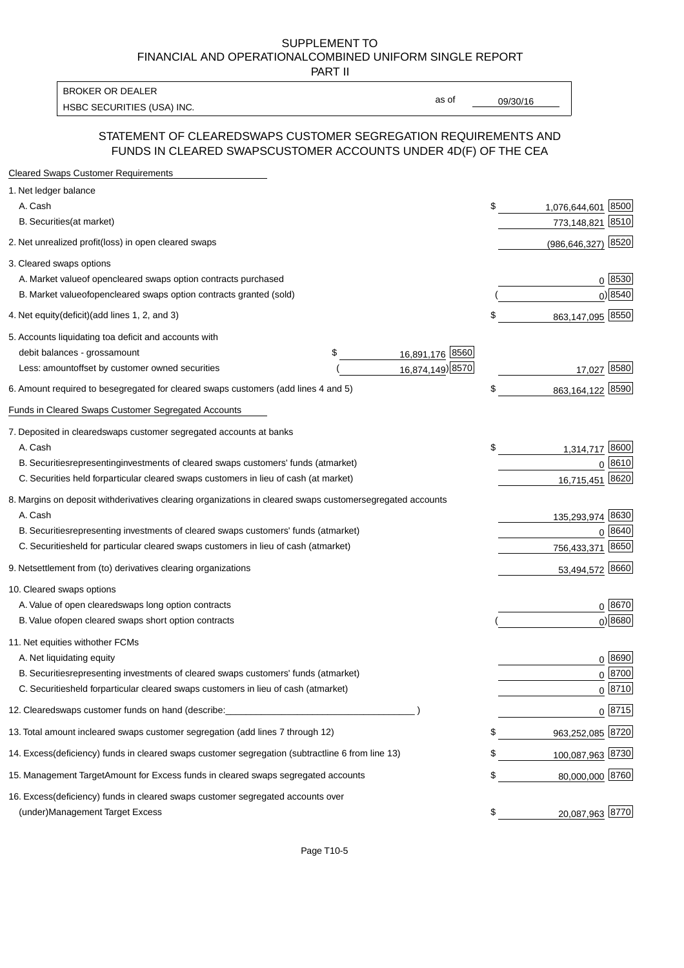PART II

HSBC SECURITIES (USA) INC. The contract of the contract of the contract of the contract of the contract of the contract of the contract of the contract of the contract of the contract of the contract of the contract of the BROKER OR DEALER

as of

### STATEMENT OF CLEARED SWAPS CUSTOMER SEGREGATION REQUIREMENTS AND FUNDS IN CLEARED SWAPS CUSTOMER ACCOUNTS UNDER 4D(F) OF THE CEA

| <b>Cleared Swaps Customer Requirements</b>                                                                  |                             |
|-------------------------------------------------------------------------------------------------------------|-----------------------------|
| 1. Net ledger balance                                                                                       |                             |
| A. Cash                                                                                                     | \$<br>8500<br>1,076,644,601 |
| B. Securities (at market)                                                                                   | 8510<br>773,148,821         |
| 2. Net unrealized profit (loss) in open cleared swaps                                                       | 8520<br>(986, 646, 327)     |
| 3. Cleared swaps options                                                                                    |                             |
| A. Market value of open cleared swaps option contracts purchased                                            | 0   8530                    |
| B. Market value of open cleared swaps option contracts granted (sold)                                       | $0)$ 8540                   |
| 4. Net equity (deficit) (add lines 1, 2, and 3)                                                             | \$<br>863,147,095 8550      |
| 5. Accounts liquidating to a deficit and accounts with                                                      |                             |
| 16,891,176 8560<br>debit balances - gross amount<br>\$                                                      |                             |
| 16,874,149) 8570<br>Less: amount offset by customer owned securities                                        | 17,027 8580                 |
| 6. Amount required to be segregated for cleared swaps customers (add lines 4 and 5)                         | \$<br>863,164,122 8590      |
| Funds in Cleared Swaps Customer Segregated Accounts                                                         |                             |
| 7. Deposited in cleared swaps customer segregated accounts at banks                                         |                             |
| A. Cash                                                                                                     | \$<br>1,314,717 8600        |
| B. Securities representing investments of cleared swaps customers' funds (at market)                        | 0 8610                      |
| C. Securities held for particular cleared swaps customers in lieu of cash (at market)                       | 16,715,451 8620             |
| 8. Margins on deposit with derivatives clearing organizations in cleared swaps customer segregated accounts |                             |
| A. Cash                                                                                                     | 135,293,974 8630            |
| B. Securities representing investments of cleared swaps customers' funds (at market)                        | 8640<br>0                   |
| C. Securities<br>held for particular cleared swaps customers in lieu of cash (at market)                    | 8650<br>756,433,371         |
| 9. Net settlement from (to) derivatives clearing organizations                                              | 53,494,572 8660             |
| 10. Cleared swaps options                                                                                   |                             |
| A. Value of open cleared swaps long option contracts                                                        | $0^{8670}$                  |
| B. Value of open cleared swaps short option contracts                                                       | $0$ ) 8680                  |
| 11. Net equities with other FCMs                                                                            |                             |
| A. Net liquidating equity                                                                                   | $0^{8690}$                  |
| B. Securities representing investments of cleared swaps customers' funds (at market)                        | $0 \frac{8700}{ }$          |
| C. Securities held for particular cleared swaps customers in lieu of cash (at market)                       | 0 8710                      |
| 12. Cleared swaps customer funds on hand (describe:                                                         | $0 \;  8715 $               |
| 13. Total amount in cleared swaps customer segregation (add lines 7 through 12)                             | \$<br>963,252,085 8720      |
| 14. Excess (deficiency) funds in cleared swaps customer segregation (subtract line 6 from line 13)          | 100,087,963 8730            |
| 15. Management Target Amount for Excess funds in cleared swaps segregated accounts                          | \$<br>80,000,000 8760       |
| 16. Excess<br>(deficiency) funds in cleared swaps customer segregated accounts over                         |                             |
| <b>Management Target Excess</b><br>(under)                                                                  | \$<br>20,087,963 8770       |